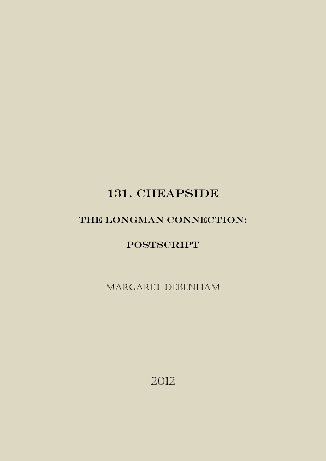# 131, CHEAPSIDE

# THE LONGMAN CONNECTION:

**POSTSCRIPT** 

Margaret Debenham

2012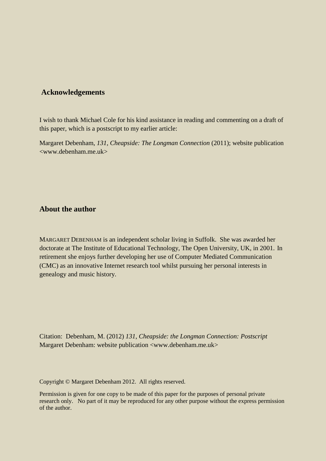### **Acknowledgements**

I wish to thank Michael Cole for his kind assistance in reading and commenting on a draft of this paper, which is a postscript to my earlier article:

Margaret Debenham, *131, Cheapside: The Longman Connection* (2011); website publication <www.debenham.me.uk>

### **About the author**

MARGARET DEBENHAM is an independent scholar living in Suffolk. She was awarded her doctorate at The Institute of Educational Technology, The Open University, UK, in 2001. In retirement she enjoys further developing her use of Computer Mediated Communication (CMC) as an innovative Internet research tool whilst pursuing her personal interests in genealogy and music history.

Citation: Debenham, M. (2012) *131*, *Cheapside: the Longman Connection: Postscript*  Margaret Debenham: website publication <www.debenham.me.uk>

Copyright © Margaret Debenham 2012. All rights reserved.

Permission is given for one copy to be made of this paper for the purposes of personal private research only. No part of it may be reproduced for any other purpose without the express permission of the author.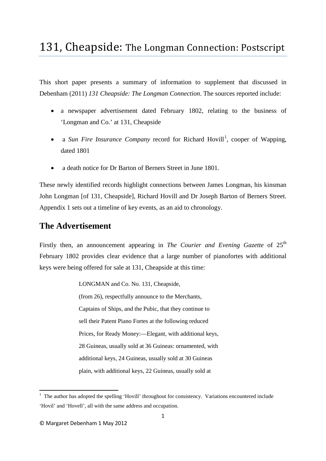# 131, Cheapside: The Longman Connection: Postscript

This short paper presents a summary of information to supplement that discussed in Debenham (2011) *131 Cheapside: The Longman Connection*. The sources reported include:

- a newspaper advertisement dated February 1802, relating to the business of 'Longman and Co.' at 131, Cheapside
- a *Sun Fire Insurance Company* record for Richard Hovill<sup>[1](#page-2-0)</sup>, cooper of Wapping, dated 1801
- a death notice for Dr Barton of Berners Street in June 1801.

These newly identified records highlight connections between James Longman, his kinsman John Longman [of 131, Cheapside], Richard Hovill and Dr Joseph Barton of Berners Street. Appendix 1 sets out a timeline of key events, as an aid to chronology.

## **The Advertisement**

Firstly then, an announcement appearing in *The Courier and Evening Gazette* of 25<sup>th</sup> February 1802 provides clear evidence that a large number of pianofortes with additional keys were being offered for sale at 131, Cheapside at this time:

LONGMAN and Co. No. 131, Cheapside,

(from 26), respectfully announce to the Merchants, Captains of Ships, and the Pubic, that they continue to sell their Patent Piano Fortes at the following reduced Prices, for Ready Money:—Elegant, with additional keys, 28 Guineas, usually sold at 36 Guineas: ornamented, with additional keys, 24 Guineas, usually sold at 30 Guineas plain, with additional keys, 22 Guineas, usually sold at

<span id="page-2-0"></span> $\frac{1}{1}$  $1$ . The author has adopted the spelling 'Hovill' throughout for consistency. Variations encountered include 'Hovil' and 'Hovell', all with the same address and occupation.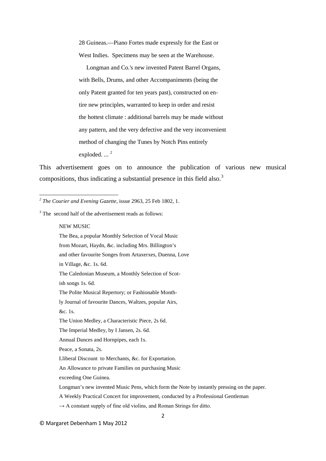28 Guineas.—Piano Fortes made expressly for the East or West Indies. Specimens may be seen at the Warehouse.

 Longman and Co.'s new invented Patent Barrel Organs, with Bells, Drums, and other Accompaniments (being the only Patent granted for ten years past), constructed on entire new principles, warranted to keep in order and resist the hottest climate : additional barrels may be made without any pattern, and the very defective and the very inconvenient method of changing the Tunes by Notch Pins entirely exploded.  $\ldots$ <sup>[2](#page-3-0)</sup>

This advertisement goes on to announce the publication of various new musical compositions, thus indicating a substantial presence in this field also.<sup>[3](#page-3-1)</sup>

<span id="page-3-1"></span> $3$  The second half of the advertisement reads as follows:

NEW MUSIC

**.** 

The Bea, a popular Monthly Selection of Vocal Music

from Mozart, Haydn, &c. including Mrs. Billington's

and other favourite Songes from Artaxerxes, Duenna, Love

in Village, &c. 1s. 6d.

The Caledonian Museum, a Monthly Selection of Scot-

ish songs 1s. 6d.

ly Journal of favourite Dances, Waltzes, popular Airs,

&c. 1s.

Peace, a Sonata, 2s.

Lliberal Discount to Merchants, &c. for Exportation.

An Allowance to private Families on purchasing Music

exceeding One Guinea.

<span id="page-3-0"></span>*<sup>2</sup> The Courier and Evening Gazette*, issue 2963, 25 Feb 1802, 1.

The Polite Musical Repertory; or Fashionable Month-

The Union Medley, a Characteristic Piece, 2s 6d.

The Imperial Medley, by I Jansen, 2s. 6d.

Annual Dances and Hornpipes, each 1s.

Longman's new invented Music Pens, which form the Note by instantly pressing on the paper.

A Weekly Practical Concert for improvement, conducted by a Professional Gentleman

 $\rightarrow$  A constant supply of fine old violins, and Roman Strings for ditto.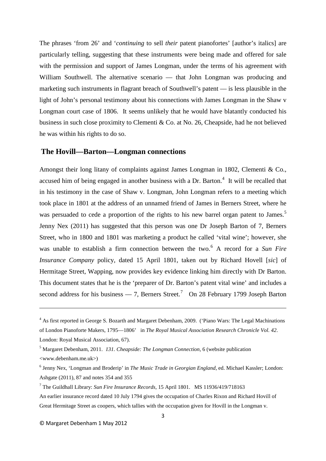The phrases 'from 26' and '*continuing* to sell *their* patent pianofortes' [author's italics] are particularly telling, suggesting that these instruments were being made and offered for sale with the permission and support of James Longman, under the terms of his agreement with William Southwell. The alternative scenario — that John Longman was producing and marketing such instruments in flagrant breach of Southwell's patent –– is less plausible in the light of John's personal testimony about his connections with James Longman in the Shaw v Longman court case of 1806. It seems unlikely that he would have blatantly conducted his business in such close proximity to Clementi & Co. at No. 26, Cheapside, had he not believed he was within his rights to do so.

### **The Hovill––Barton––Longman connections**

Amongst their long litany of complaints against James Longman in 1802, Clementi & Co., accused him of being engaged in another business with a Dr. Barton.<sup>[4](#page-4-0)</sup> It will be recalled that in his testimony in the case of Shaw v. Longman, John Longman refers to a meeting which took place in 1801 at the address of an unnamed friend of James in Berners Street, where he was persuaded to cede a proportion of the rights to his new barrel organ patent to James.<sup>[5](#page-4-1)</sup> Jenny Nex (2011) has suggested that this person was one Dr Joseph Barton of 7, Berners Street, who in 1800 and 1801 was marketing a product he called 'vital wine'; however, she was unable to establish a firm connection between the two.<sup>[6](#page-4-2)</sup> A record for a *Sun Fire Insurance Company* policy, dated 15 April 1801, taken out by Richard Hovell [*sic*] of Hermitage Street, Wapping, now provides key evidence linking him directly with Dr Barton. This document states that he is the 'preparer of Dr. Barton's patent vital wine' and includes a second address for his business  $-7$  $-7$ , Berners Street.<sup>7</sup> On 28 February 1799 Joseph Barton

 $\overline{\phantom{a}}$ 

<span id="page-4-0"></span><sup>&</sup>lt;sup>4</sup> As first reported in George S. Bozarth and Margaret Debenham, 2009. ('Piano Wars: The Legal Machinations' of London Pianoforte Makers, 1795––1806' in *The Royal Musical Association Research Chronicle Vol. 42*. London: Royal Musical Association, 67).

<span id="page-4-1"></span><sup>5</sup> Margaret Debenham, 2011. *131. Cheapside: The Longman Connection*, 6 (website publication <www.debenham.me.uk>)

<span id="page-4-2"></span><sup>6</sup> Jenny Nex, 'Longman and Broderip' in *The Music Trade in Georgian England*, ed. Michael Kassler; London: Ashgate (2011), 87 and notes 354 and 355

<span id="page-4-3"></span><sup>7</sup> The Guildhall Library: *Sun Fire Insurance Records,* 15 April 1801. MS 11936/419/718163

An earlier insurance record dated 10 July 1794 gives the occupation of Charles Rixon and Richard Hovill of Great Hermitage Street as coopers, which tallies with the occupation given for Hovill in the Longman v.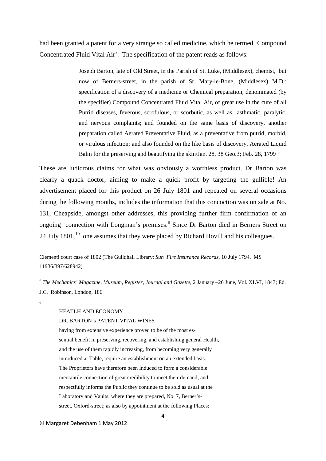had been granted a patent for a very strange so called medicine, which he termed 'Compound Concentrated Fluid Vital Air'. The specification of the patent reads as follows:

> Joseph Barton, late of Old Street, in the Parish of St. Luke, (Middlesex), chemist, but now of Berners-street, in the parish of St. Mary-le-Bone, (Middlesex) M.D.: specification of a discovery of a medicine or Chemical preparation, denominated (by the specifier) Compound Concentrated Fluid Vital Air, of great use in the cure of all Putrid diseases, feverous, scrofulous, or scorbutic, as well as asthmatic, paralytic, and nervous complaints; and founded on the same basis of discovery, another preparation called Aerated Preventative Fluid, as a preventative from putrid, morbid, or virulous infection; and also founded on the like basis of discovery, Aerated Liquid Balm for the preserving and beautifying the skin/Jan. 2[8](#page-5-0), 38 Geo.3; Feb. 28, 1799 <sup>8</sup>

These are ludicrous claims for what was obviously a worthless product. Dr Barton was clearly a quack doctor, aiming to make a quick profit by targeting the gullible! An advertisement placed for this product on 26 July 1801 and repeated on several occasions during the following months, includes the information that this concoction was on sale at No. 131, Cheapside, amongst other addresses, this providing further firm confirmation of an ongoing connection with Longman's premises.<sup>[9](#page-5-1)</sup> Since Dr Barton died in Berners Street on 24 July  $1801$ ,  $^{10}$  $^{10}$  $^{10}$  one assumes that they were placed by Richard Hovill and his colleagues.

Clementi court case of 1802 (The Guildhall Library: *Sun Fire Insurance Records,* 10 July 1794. MS 11936/397/628942)

<span id="page-5-0"></span><sup>8</sup> *The Mechanics' Magazine, Museum, Register, Journal and Gazette*, 2 January –26 June, Vol. XLVI, 1847; Ed. J.C. Robinson, London, 186

<span id="page-5-2"></span><span id="page-5-1"></span> $\overline{9}$ 

**.** 

#### HEATLH AND ECONOMY

#### DR. BARTON's PATENT VITAL WINES

having from extensive experience proved to be of the most essential benefit in preserving, recovering, and establishing general Health, and the use of them rapidly increasing, from becoming very generally introduced at Table, require an establishment on an extended basis. The Proprietors have therefore been Induced to form a considerable mercantile connection of great credibility to meet their demand; and respectfully informs the Public they continue to be sold as usual at the Laboratory and Vaults, where they are prepared, No. 7, Berner'sstreet, Oxford-street; as also by appointment at the following Places: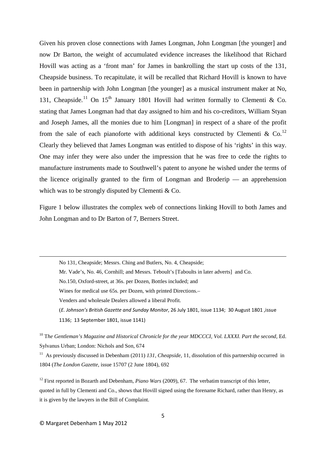Given his proven close connections with James Longman, John Longman [the younger] and now Dr Barton, the weight of accumulated evidence increases the likelihood that Richard Hovill was acting as a 'front man' for James in bankrolling the start up costs of the 131, Cheapside business. To recapitulate, it will be recalled that Richard Hovill is known to have been in partnership with John Longman [the younger] as a musical instrument maker at No, 131, Cheapside.<sup>[11](#page-6-0)</sup> On 15<sup>th</sup> January 1801 Hovill had written formally to Clementi & Co. stating that James Longman had that day assigned to him and his co-creditors, William Styan and Joseph James, all the monies due to him [Longman] in respect of a share of the profit from the sale of each pianoforte with additional keys constructed by Clementi & Co.<sup>[12](#page-6-1)</sup> Clearly they believed that James Longman was entitled to dispose of his 'rights' in this way. One may infer they were also under the impression that he was free to cede the rights to manufacture instruments made to Southwell's patent to anyone he wished under the terms of the licence originally granted to the firm of Longman and Broderip  $-$  an apprehension which was to be strongly disputed by Clementi & Co.

Figure 1 below illustrates the complex web of connections linking Hovill to both James and John Longman and to Dr Barton of 7, Berners Street.

No 131, Cheapside; Messrs. Ching and Butlers, No. 4, Cheapside; Mr. Vade's, No. 46, Cornhill; and Messrs. Teboult's [Taboults in later adverts] and Co. No.150, Oxford-street, at 36s. per Dozen, Bottles included; and Wines for medical use 65s. per Dozen, with printed Directions.– Venders and wholesale Dealers allowed a liberal Profit. (*E. Johnson's British Gazette and Sunday Monitor*, 26 July 1801, issue 1134; 30 August 1801 ,issue 1136; 13 September 1801, issue 1141)

<sup>10</sup> T*he Gentleman's Magazine and Historical Chronicle for the year MDCCCI, Vol. LXXXI. Part the second,* Ed. Sylvanus Urban; London: Nichols and Son, 674

<span id="page-6-0"></span><sup>11</sup> As previously discussed in Debenham (2011) *131, Cheapside*, 11, dissolution of this partnership occurred in 1804 (*The London Gazette*, issue 15707 (2 June 1804), 692

<span id="page-6-1"></span><sup>12</sup> First reported in Bozarth and Debenham, *Piano Wars* (2009), 67. The verbatim transcript of this letter, quoted in full by Clementi and Co., shows that Hovill signed using the forename Richard, rather than Henry, as it is given by the lawyers in the Bill of Complaint.

**.**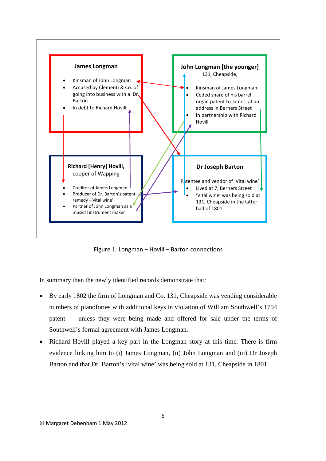

Figure 1: Longman – Hovill – Barton connections

In summary then the newly identified records demonstrate that:

- By early 1802 the firm of Longman and Co. 131, Cheapside was vending considerable numbers of pianofortes with additional keys in violation of William Southwell's 1794 patent –– unless they were being made and offered for sale under the terms of Southwell's formal agreement with James Longman.
- Richard Hovill played a key part in the Longman story at this time. There is firm evidence linking him to (i) James Longman, (ii) John Longman and (iii) Dr Joseph Barton and that Dr. Barton's 'vital wine' was being sold at 131, Cheapside in 1801.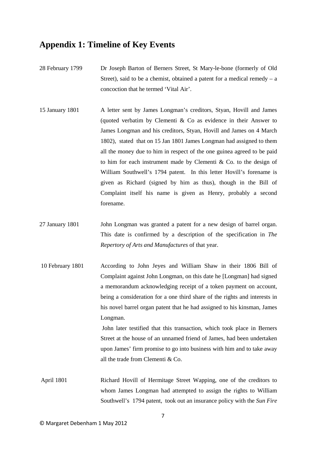## **Appendix 1: Timeline of Key Events**

- 28 February 1799 Dr Joseph Barton of Berners Street, St Mary-le-bone (formerly of Old Street), said to be a chemist, obtained a patent for a medical remedy  $- a$ concoction that he termed 'Vital Air'.
- 15 January 1801 A letter sent by James Longman's creditors, Styan, Hovill and James (quoted verbatim by Clementi & Co as evidence in their Answer to James Longman and his creditors, Styan, Hovill and James on 4 March 1802), stated that on 15 Jan 1801 James Longman had assigned to them all the money due to him in respect of the one guinea agreed to be paid to him for each instrument made by Clementi & Co. to the design of William Southwell's 1794 patent. In this letter Hovill's forename is given as Richard (signed by him as thus), though in the Bill of Complaint itself his name is given as Henry, probably a second forename.
- 27 January 1801 John Longman was granted a patent for a new design of barrel organ. This date is confirmed by a description of the specification in *The Repertory of Arts and Manufactures* of that year.
- 10 February 1801 According to John Jeyes and William Shaw in their 1806 Bill of Complaint against John Longman, on this date he [Longman] had signed a memorandum acknowledging receipt of a token payment on account, being a consideration for a one third share of the rights and interests in his novel barrel organ patent that he had assigned to his kinsman, James Longman.

John later testified that this transaction, which took place in Berners Street at the house of an unnamed friend of James, had been undertaken upon James' firm promise to go into business with him and to take away all the trade from Clementi & Co.

April 1801 Richard Hovill of Hermitage Street Wapping, one of the creditors to whom James Longman had attempted to assign the rights to William Southwell's 1794 patent, took out an insurance policy with the *Sun Fire*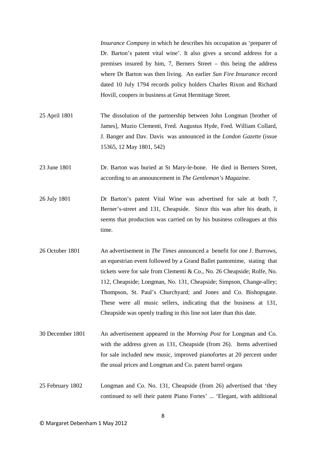*Insurance Company* in which he describes his occupation as 'preparer of Dr. Barton's patent vital wine'. It also gives a second address for a premises insured by him, 7, Berners Street – this being the address where Dr Barton was then living. An earlier *Sun Fire Insurance* record dated 10 July 1794 records policy holders Charles Rixon and Richard Hovill, coopers in business at Great Hermitage Street.

- 25 April 1801 The dissolution of the partnership between John Longman [brother of James], Muzio Clementi, Fred. Augustus Hyde, Fred. William Collard, J. Banger and Dav. Davis was announced in the *London Gazette* (issue 15365, 12 May 1801, 542)
- 23 June 1801 Dr. Barton was buried at St Mary-le-bone. He died in Berners Street, according to an announcement in *The Gentleman's Magazine*.
- 26 July 1801 Dr Barton's patent Vital Wine was advertised for sale at both 7, Berner's-street and 131, Cheapside. Since this was after his death, it seems that production was carried on by his business colleagues at this time.
- 26 October 1801 An advertisement in *The Times* announced a benefit for one J. Burrows, an equestrian event followed by a Grand Ballet pantomime, stating that tickets were for sale from Clementi & Co., No. 26 Cheapside; Rolfe, No. 112, Cheapside; Longman, No. 131, Cheapside; Simpson, Change-alley; Thompson, St. Paul's Churchyard; and Jones and Co. Bishopsgate. These were all music sellers, indicating that the business at 131, Cheapside was openly trading in this line not later than this date.
- 30 December 1801 An advertisement appeared in the *Morning Post* for Longman and Co. with the address given as 131, Cheapside (from 26). Items advertised for sale included new music, improved pianofortes at 20 percent under the usual prices and Longman and Co. patent barrel organs
- 25 February 1802 Longman and Co. No. 131, Cheapside (from 26) advertised that 'they continued to sell their patent Piano Fortes' ... 'Elegant, with additional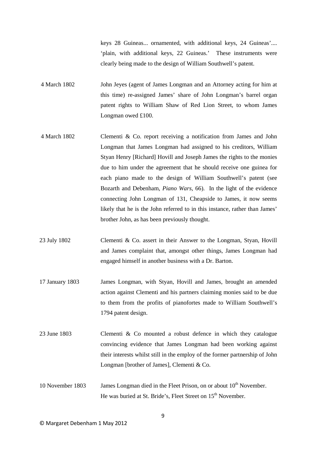keys 28 Guineas... ornamented, with additional keys, 24 Guineas'.... 'plain, with additional keys, 22 Guineas.' These instruments were clearly being made to the design of William Southwell's patent.

- 4 March 1802 John Jeyes (agent of James Longman and an Attorney acting for him at this time) re-assigned James' share of John Longman's barrel organ patent rights to William Shaw of Red Lion Street, to whom James Longman owed £100.
- 4 March 1802 Clementi & Co. report receiving a notification from James and John Longman that James Longman had assigned to his creditors, William Styan Henry [Richard] Hovill and Joseph James the rights to the monies due to him under the agreement that he should receive one guinea for each piano made to the design of William Southwell's patent (see Bozarth and Debenham, *Piano Wars*, 66). In the light of the evidence connecting John Longman of 131, Cheapside to James, it now seems likely that he is the John referred to in this instance, rather than James' brother John, as has been previously thought.
- 23 July 1802 Clementi & Co. assert in their Answer to the Longman, Styan, Hovill and James complaint that, amongst other things, James Longman had engaged himself in another business with a Dr. Barton.
- 17 January 1803 James Longman, with Styan, Hovill and James, brought an amended action against Clementi and his partners claiming monies said to be due to them from the profits of pianofortes made to William Southwell's 1794 patent design.
- 23 June 1803 Clementi & Co mounted a robust defence in which they catalogue convincing evidence that James Longman had been working against their interests whilst still in the employ of the former partnership of John Longman [brother of James], Clementi & Co.
- 10 November 1803 James Longman died in the Fleet Prison, on or about  $10<sup>th</sup>$  November. He was buried at St. Bride's, Fleet Street on 15<sup>th</sup> November.